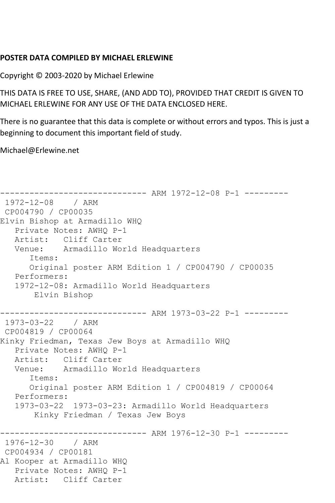## **POSTER DATA COMPILED BY MICHAEL ERLEWINE**

Copyright © 2003-2020 by Michael Erlewine

THIS DATA IS FREE TO USE, SHARE, (AND ADD TO), PROVIDED THAT CREDIT IS GIVEN TO MICHAEL ERLEWINE FOR ANY USE OF THE DATA ENCLOSED HERE.

There is no guarantee that this data is complete or without errors and typos. This is just a beginning to document this important field of study.

Michael@Erlewine.net

```
------------------------------ ARM 1972-12-08 P-1 ---------
1972-12-08 / ARM 
CP004790 / CP00035
Elvin Bishop at Armadillo WHQ
   Private Notes: AWHQ P-1
   Artist: Cliff Carter
   Venue: Armadillo World Headquarters
      Items:
      Original poster ARM Edition 1 / CP004790 / CP00035
   Performers:
   1972-12-08: Armadillo World Headquarters
       Elvin Bishop
------------------------------ ARM 1973-03-22 P-1 ---------
1973-03-22 / ARM 
CP004819 / CP00064
Kinky Friedman, Texas Jew Boys at Armadillo WHQ
   Private Notes: AWHQ P-1
   Artist: Cliff Carter
   Venue: Armadillo World Headquarters
      Items:
      Original poster ARM Edition 1 / CP004819 / CP00064
   Performers:
   1973-03-22 1973-03-23: Armadillo World Headquarters
       Kinky Friedman / Texas Jew Boys
------------------------------ ARM 1976-12-30 P-1 ---------
1976-12-30 / ARM 
CP004934 / CP00181
Al Kooper at Armadillo WHQ
   Private Notes: AWHQ P-1
   Artist: Cliff Carter
```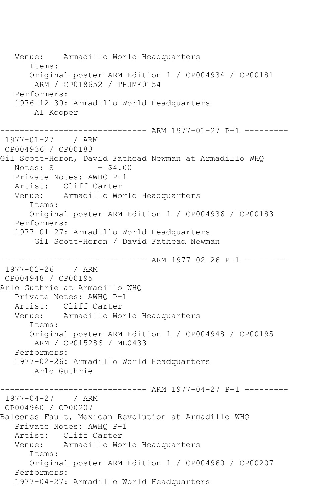Venue: Armadillo World Headquarters Items: Original poster ARM Edition 1 / CP004934 / CP00181 ARM / CP018652 / THJME0154 Performers: 1976-12-30: Armadillo World Headquarters Al Kooper --------------- ARM 1977-01-27 P-1 ---------1977-01-27 / ARM CP004936 / CP00183 Gil Scott-Heron, David Fathead Newman at Armadillo WHQ Notes:  $S = 4.00$  Private Notes: AWHQ P-1 Artist: Cliff Carter Venue: Armadillo World Headquarters Items: Original poster ARM Edition 1 / CP004936 / CP00183 Performers: 1977-01-27: Armadillo World Headquarters Gil Scott-Heron / David Fathead Newman ------------------------------ ARM 1977-02-26 P-1 --------- 1977-02-26 / ARM CP004948 / CP00195 Arlo Guthrie at Armadillo WHQ Private Notes: AWHQ P-1 Artist: Cliff Carter Venue: Armadillo World Headquarters Items: Original poster ARM Edition 1 / CP004948 / CP00195 ARM / CP015286 / ME0433 Performers: 1977-02-26: Armadillo World Headquarters Arlo Guthrie ------------------------------ ARM 1977-04-27 P-1 --------- 1977-04-27 / ARM CP004960 / CP00207 Balcones Fault, Mexican Revolution at Armadillo WHQ Private Notes: AWHQ P-1 Artist: Cliff Carter Venue: Armadillo World Headquarters Items: Original poster ARM Edition 1 / CP004960 / CP00207 Performers: 1977-04-27: Armadillo World Headquarters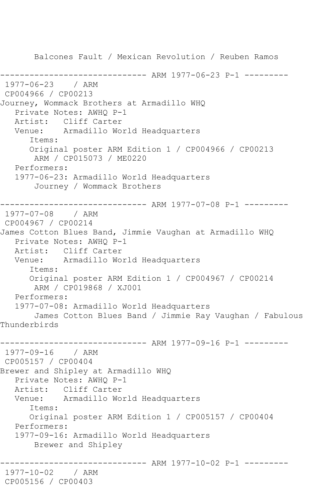Balcones Fault / Mexican Revolution / Reuben Ramos ------------------------------ ARM 1977-06-23 P-1 --------- 1977-06-23 / ARM CP004966 / CP00213 Journey, Wommack Brothers at Armadillo WHQ Private Notes: AWHQ P-1 Artist: Cliff Carter Venue: Armadillo World Headquarters Items: Original poster ARM Edition 1 / CP004966 / CP00213 ARM / CP015073 / ME0220 Performers: 1977-06-23: Armadillo World Headquarters Journey / Wommack Brothers ------------------------------ ARM 1977-07-08 P-1 --------- 1977-07-08 / ARM CP004967 / CP00214 James Cotton Blues Band, Jimmie Vaughan at Armadillo WHQ Private Notes: AWHQ P-1 Artist: Cliff Carter<br>Venue: Armadillo Wo Armadillo World Headquarters Items: Original poster ARM Edition 1 / CP004967 / CP00214 ARM / CP019868 / XJ001 Performers: 1977-07-08: Armadillo World Headquarters James Cotton Blues Band / Jimmie Ray Vaughan / Fabulous Thunderbirds ------------------------------ ARM 1977-09-16 P-1 --------- 1977-09-16 / ARM CP005157 / CP00404 Brewer and Shipley at Armadillo WHQ Private Notes: AWHQ P-1 Artist: Cliff Carter Venue: Armadillo World Headquarters Items: Original poster ARM Edition 1 / CP005157 / CP00404 Performers: 1977-09-16: Armadillo World Headquarters Brewer and Shipley ------------------------------ ARM 1977-10-02 P-1 --------- 1977-10-02 / ARM CP005156 / CP00403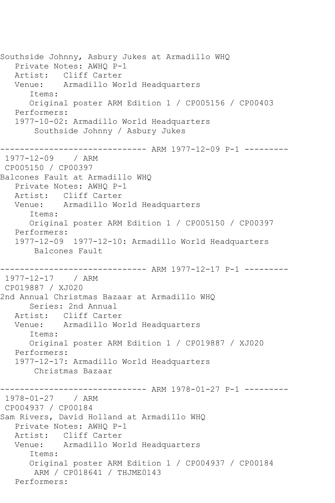Southside Johnny, Asbury Jukes at Armadillo WHQ Private Notes: AWHQ P-1 Artist: Cliff Carter Venue: Armadillo World Headquarters Items: Original poster ARM Edition 1 / CP005156 / CP00403 Performers: 1977-10-02: Armadillo World Headquarters Southside Johnny / Asbury Jukes ------------------------------ ARM 1977-12-09 P-1 --------- 1977-12-09 / ARM CP005150 / CP00397 Balcones Fault at Armadillo WHQ Private Notes: AWHQ P-1 Artist: Cliff Carter Venue: Armadillo World Headquarters Items: Original poster ARM Edition 1 / CP005150 / CP00397 Performers: 1977-12-09 1977-12-10: Armadillo World Headquarters Balcones Fault ------------------------------ ARM 1977-12-17 P-1 --------- 1977-12-17 / ARM CP019887 / XJ020 2nd Annual Christmas Bazaar at Armadillo WHQ Series: 2nd Annual Artist: Cliff Carter Venue: Armadillo World Headquarters Items: Original poster ARM Edition 1 / CP019887 / XJ020 Performers: 1977-12-17: Armadillo World Headquarters Christmas Bazaar ------------------------------ ARM 1978-01-27 P-1 --------- 1978-01-27 / ARM CP004937 / CP00184 Sam Rivers, David Holland at Armadillo WHQ Private Notes: AWHQ P-1 Artist: Cliff Carter Venue: Armadillo World Headquarters Items: Original poster ARM Edition 1 / CP004937 / CP00184 ARM / CP018641 / THJME0143 Performers: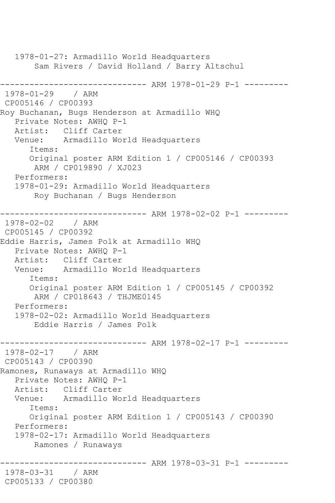1978-01-27: Armadillo World Headquarters Sam Rivers / David Holland / Barry Altschul ------------------------------ ARM 1978-01-29 P-1 --------- 1978-01-29 / ARM CP005146 / CP00393 Roy Buchanan, Bugs Henderson at Armadillo WHQ Private Notes: AWHQ P-1 Artist: Cliff Carter Venue: Armadillo World Headquarters Items: Original poster ARM Edition 1 / CP005146 / CP00393 ARM / CP019890 / XJ023 Performers: 1978-01-29: Armadillo World Headquarters Roy Buchanan / Bugs Henderson ------------------------------ ARM 1978-02-02 P-1 --------- 1978-02-02 / ARM CP005145 / CP00392 Eddie Harris, James Polk at Armadillo WHQ Private Notes: AWHQ P-1 Artist: Cliff Carter Venue: Armadillo World Headquarters Items: Original poster ARM Edition 1 / CP005145 / CP00392 ARM / CP018643 / THJME0145 Performers: 1978-02-02: Armadillo World Headquarters Eddie Harris / James Polk ------------------------------ ARM 1978-02-17 P-1 --------- 1978-02-17 / ARM CP005143 / CP00390 Ramones, Runaways at Armadillo WHQ Private Notes: AWHQ P-1 Artist: Cliff Carter Venue: Armadillo World Headquarters Items: Original poster ARM Edition 1 / CP005143 / CP00390 Performers: 1978-02-17: Armadillo World Headquarters Ramones / Runaways ------------------------------ ARM 1978-03-31 P-1 --------- 1978-03-31 / ARM CP005133 / CP00380